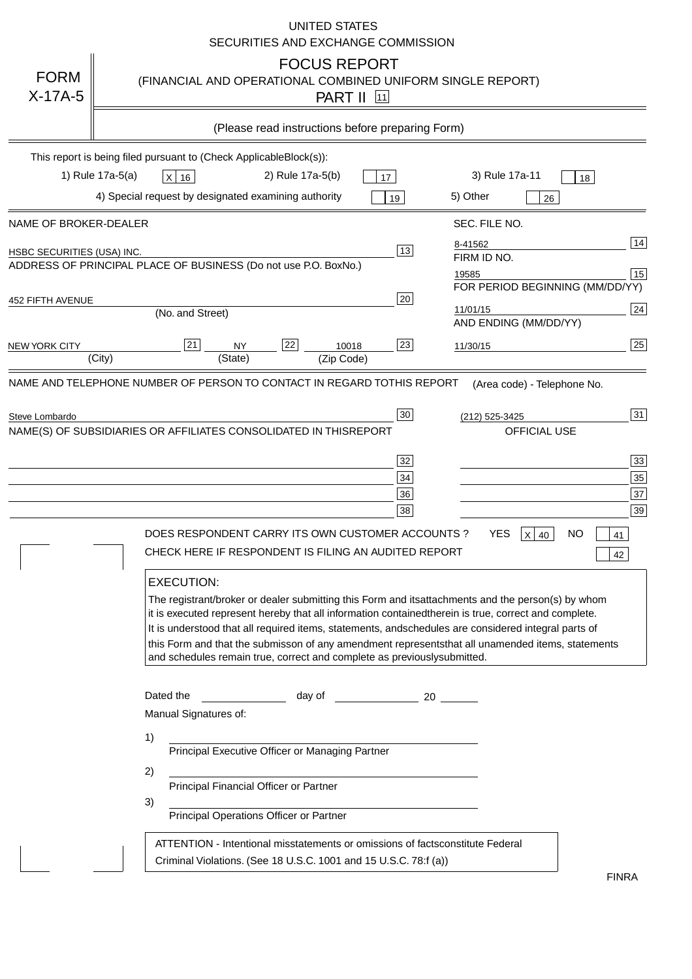|                                                                                                                          | <b>UNITED STATES</b><br>SECURITIES AND EXCHANGE COMMISSION                                                                                                                                                                                                                                                                                                                                                                                                                                                                                                                                                                                                                                                                                |
|--------------------------------------------------------------------------------------------------------------------------|-------------------------------------------------------------------------------------------------------------------------------------------------------------------------------------------------------------------------------------------------------------------------------------------------------------------------------------------------------------------------------------------------------------------------------------------------------------------------------------------------------------------------------------------------------------------------------------------------------------------------------------------------------------------------------------------------------------------------------------------|
| <b>FORM</b><br>$X-17A-5$                                                                                                 | <b>FOCUS REPORT</b><br>(FINANCIAL AND OPERATIONAL COMBINED UNIFORM SINGLE REPORT)<br><b>PART II</b> 11                                                                                                                                                                                                                                                                                                                                                                                                                                                                                                                                                                                                                                    |
|                                                                                                                          | (Please read instructions before preparing Form)                                                                                                                                                                                                                                                                                                                                                                                                                                                                                                                                                                                                                                                                                          |
|                                                                                                                          | This report is being filed pursuant to (Check Applicable<br>$Block(s)$ :<br>3) Rule 17a-11<br>1) Rule 17a-5(a)<br>2) Rule 17a-5(b)<br>$X$ 16<br>17<br>18<br>4) Special request by designated examining authority<br>5) Other<br>19<br>26                                                                                                                                                                                                                                                                                                                                                                                                                                                                                                  |
| NAME OF BROKER-DEALER<br>HSBC SECURITIES (USA) INC.<br><b>452 FIFTH AVENUE</b><br><b>NEW YORK CITY</b><br>Steve Lombardo | SEC. FILE NO.<br>14<br>8-41562<br>13<br>FIRM ID NO.<br>ADDRESS OF PRINCIPAL PLACE OF BUSINESS (Do not use P.O. Box<br>No.)<br>15<br>19585<br>FOR PERIOD BEGINNING (MM/DD/YY)<br>20<br>24<br>11/01/15<br>(No. and Street)<br>AND ENDING (MM/DD/YY)<br>25<br>22<br>21<br>23<br><b>NY</b><br>10018<br>11/30/15<br>(City)<br>(State)<br>(Zip Code)<br>NAME AND TELEPHONE NUMBER OF PERSON TO CONTACT IN REGARD TO<br>THIS REPORT(Area code) - Telephone No.<br>31<br>30<br>(212) 525-3425<br>NAME(S) OF SUBSIDIARIES OR AFFILIATES CONSOLIDATED IN THIS<br><b>REPORT</b><br><b>OFFICIAL USE</b><br>$\overline{33}$<br>32                                                                                                                      |
|                                                                                                                          | 35<br>34<br>37<br>36<br>39<br>38<br>DOES RESPONDENT CARRY ITS OWN CUSTOMER ACCOUNTS?<br><b>YES</b><br>$X$ 40<br><b>NO</b><br>41<br>CHECK HERE IF RESPONDENT IS FILING AN AUDITED REPORT<br>42<br><b>EXECUTION:</b><br>The registrant/broker or dealer submitting this Form and its<br>attachments and the person(s) by whom<br>it is executed represent hereby that all information contained<br>therein is true, correct and complete.<br>It is understood that all required items, statements, and<br>schedules are considered integral parts of<br>this Form and that the submisson of any amendment represents<br>that all unamended items, statements<br>and schedules remain true, correct and complete as previously<br>submitted. |
|                                                                                                                          | Dated the<br>day of<br>20<br>Manual Signatures of:<br>1)<br>Principal Executive Officer or Managing Partner<br>2)<br>Principal Financial Officer or Partner<br>3)<br>Principal Operations Officer or Partner<br>ATTENTION - Intentional misstatements or omissions of facts<br>constitute Federal<br>Criminal Violations. (See 18 U.S.C. 1001 and 15 U.S.C. 78:f (a)<br>$\lambda$<br><b>FINRA</b>                                                                                                                                                                                                                                                                                                                                         |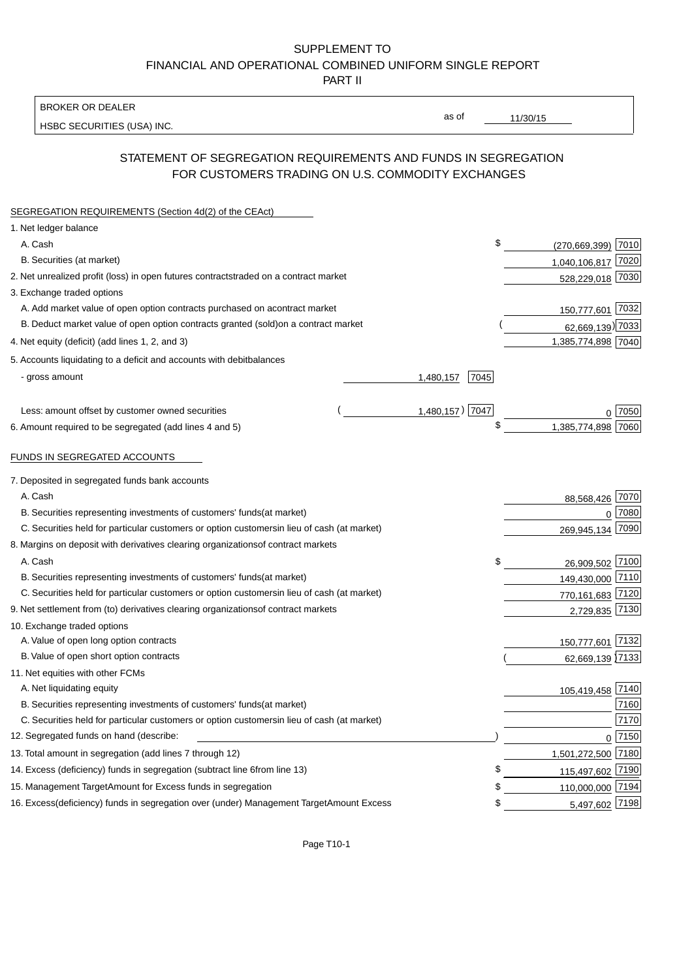BROKER OR DEALER

HSBC SECURITIES (USA) INC.

11/30/15

as of

## STATEMENT OF SEGREGATION REQUIREMENTS AND FUNDS IN SEGREGATION FOR CUSTOMERS TRADING ON U.S. COMMODITY EXCHANGES

| SEGREGATION REQUIREMENTS (Section 4d(2) of the CEAct)                                          |                   |                    |          |
|------------------------------------------------------------------------------------------------|-------------------|--------------------|----------|
| 1. Net ledger balance                                                                          |                   |                    |          |
| A. Cash                                                                                        | \$                | (270,669,399) 7010 |          |
| B. Securities (at market)                                                                      |                   | 1,040,106,817 7020 |          |
| 2. Net unrealized profit (loss) in open futures contracts<br>traded on a contract market       |                   | 528,229,018 7030   |          |
| 3. Exchange traded options                                                                     |                   |                    |          |
| A. Add market value of open option contracts purchased on a<br>contract market                 |                   | 150,777,601 7032   |          |
| B. Deduct market value of open option contracts granted (sold)<br>on a contract market         |                   | 62,669,139) 7033   |          |
| 4. Net equity (deficit) (add lines 1, 2, and 3)                                                |                   | 1,385,774,898 7040 |          |
| 5. Accounts liquidating to a deficit and accounts with debit<br>balances                       |                   |                    |          |
| - gross amount                                                                                 | 1,480,157<br>7045 |                    |          |
|                                                                                                |                   |                    |          |
| Less: amount offset by customer owned securities                                               | 1,480,157) 7047   |                    | ∩ 7050   |
| 6. Amount required to be segregated (add lines 4 and 5)                                        | \$                | 1,385,774,898      | 7060     |
|                                                                                                |                   |                    |          |
| FUNDS IN SEGREGATED ACCOUNTS                                                                   |                   |                    |          |
| 7. Deposited in segregated funds bank accounts                                                 |                   |                    |          |
| A. Cash                                                                                        |                   | 88,568,426 7070    |          |
| B. Securities representing investments of customers' funds<br>(at market)                      |                   | $\Omega$           | 7080     |
| C. Securities held for particular customers or option customers<br>in lieu of cash (at market) |                   | 269,945,134        | 7090     |
| 8. Margins on deposit with derivatives clearing organizations<br>of contract markets           |                   |                    |          |
| A. Cash                                                                                        | \$                | 26,909,502 7100    |          |
| B. Securities representing investments of customers' funds<br>(at market)                      |                   | 149,430,000 7110   |          |
| C. Securities held for particular customers or option customers<br>in lieu of cash (at market) |                   | 770,161,683 7120   |          |
| 9. Net settlement from (to) derivatives clearing organizations<br>of contract markets          |                   | 2,729,835 7130     |          |
| 10. Exchange traded options                                                                    |                   |                    |          |
| A. Value of open long option contracts                                                         |                   | 150,777,601        | 7132     |
| B. Value of open short option contracts                                                        |                   | 62,669,139 7133    |          |
| 11. Net equities with other FCMs                                                               |                   |                    |          |
| A. Net liquidating equity                                                                      |                   | 105,419,458 7140   |          |
| B. Securities representing investments of customers' funds<br>(at market)                      |                   |                    | 7160     |
| C. Securities held for particular customers or option customers<br>in lieu of cash (at market) |                   |                    | 7170     |
| 12. Segregated funds on hand (describe:                                                        |                   |                    | $0$ 7150 |
| 13. Total amount in segregation (add lines 7 through 12)                                       |                   | 1,501,272,500 7180 |          |
| 14. Excess (deficiency) funds in segregation (subtract line 6 from line 13)                    | £                 | 115,497,602 7190   |          |
| 15. Management Target Amount for Excess funds in segregation                                   | \$                | 110,000,000 7194   |          |
| 16. Excess (deficiency) funds in segregation over (under) Management Target Amount Excess      | \$                | 5,497,602 7198     |          |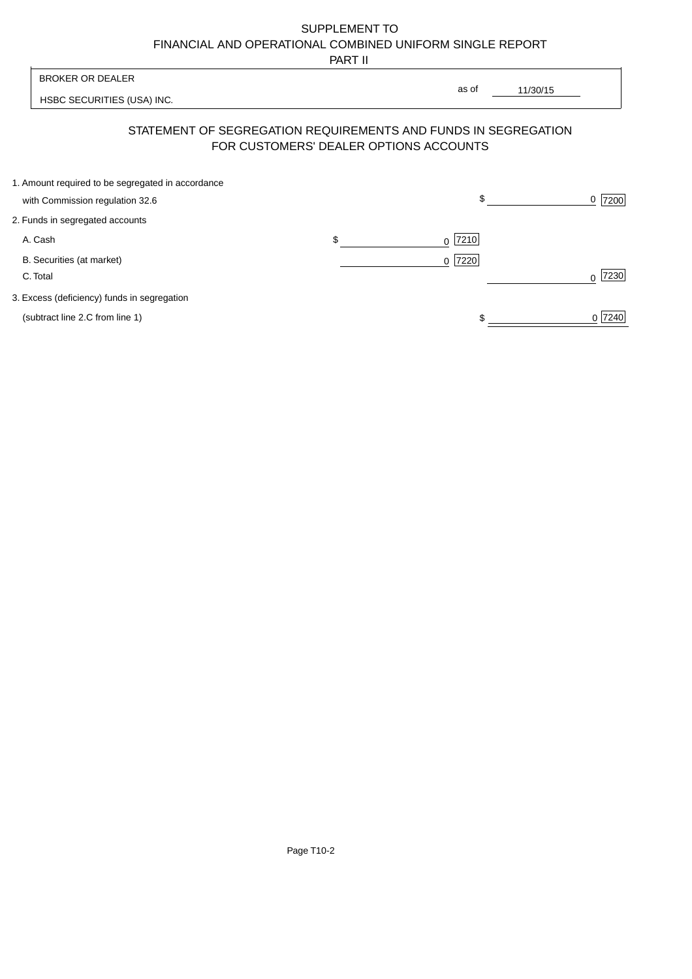PART II

 $\overline{\phantom{0}}$ 

| <b>BROKER OR DEALER</b> |                                                                                                          | as of |                  |                  |
|-------------------------|----------------------------------------------------------------------------------------------------------|-------|------------------|------------------|
|                         | HSBC SECURITIES (USA) INC.                                                                               |       | 11/30/15         |                  |
|                         | STATEMENT OF SEGREGATION REQUIREMENTS AND FUNDS IN SEGREGATION<br>FOR CUSTOMERS' DEALER OPTIONS ACCOUNTS |       |                  |                  |
|                         | 1. Amount required to be segregated in accordance                                                        |       |                  |                  |
|                         | with Commission regulation 32.6                                                                          |       | \$               | 7200<br>0        |
|                         | 2. Funds in segregated accounts                                                                          |       |                  |                  |
|                         | A. Cash                                                                                                  | \$    | 7210<br>$\Omega$ |                  |
|                         | B. Securities (at market)                                                                                |       | $0$  7220        |                  |
|                         | C. Total                                                                                                 |       |                  | 7230<br>$\Omega$ |
|                         | 3. Excess (deficiency) funds in segregation                                                              |       |                  |                  |
|                         | (subtract line 2.C from line 1)                                                                          |       |                  | 0 7240           |
|                         |                                                                                                          |       |                  |                  |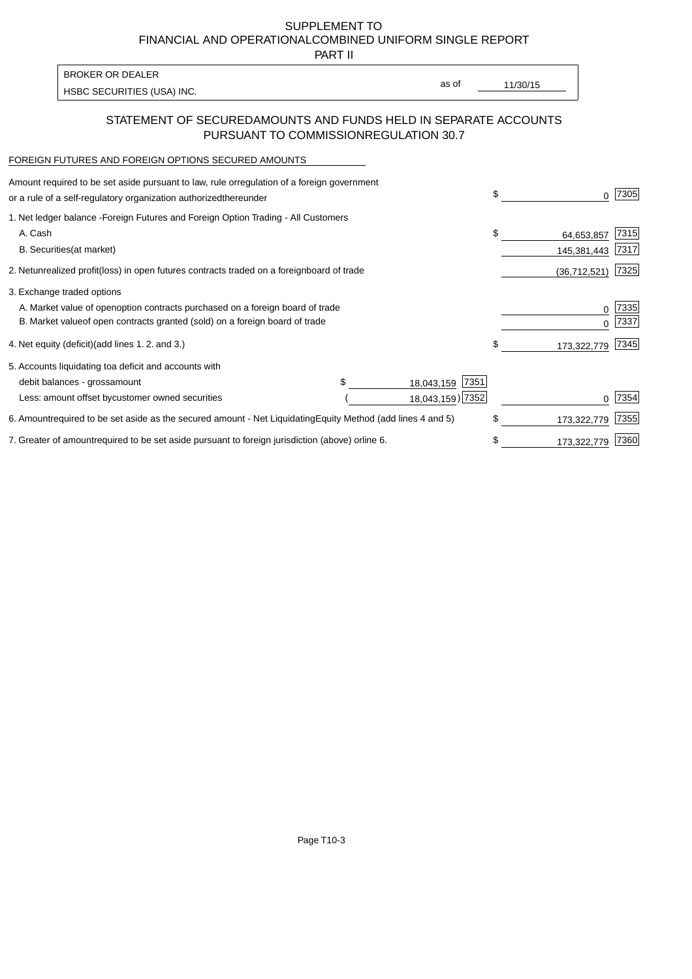PART II

HSBC SECURITIES (USA) INC. The state of the second second in the second second in the second second in the second second in the second second second in the second second second second second second second second second sec BROKER OR DEALER

as of

## STATEMENT OF SECURED AMOUNTS AND FUNDS HELD IN SEPARATE ACCOUNTS PURSUANT TO COMMISSION REGULATION 30.7

#### FOREIGN FUTURES AND FOREIGN OPTIONS SECURED AMOUNTS

| regulation of a foreign government<br>Amount required to be set aside pursuant to law, rule or<br>or a rule of a self-regulatory organization authorized<br>thereunder                       |                                        | \$                              | 7305         |
|----------------------------------------------------------------------------------------------------------------------------------------------------------------------------------------------|----------------------------------------|---------------------------------|--------------|
| 1. Net ledger balance - Foreign Futures and Foreign Option Trading - All Customers<br>A. Cash<br><b>B.</b> Securities<br>(at market)                                                         |                                        | \$<br>64,653,857<br>145,381,443 | 7315<br>7317 |
| unrealized profit (loss) in open futures contracts traded on a foreign<br>2. Net                                                                                                             | board of trade                         | (36, 712, 521)                  | 7325         |
| 3. Exchange traded options<br>A. Market value of open option contracts purchased on a foreign board of trade<br>B. Market value of open contracts granted (sold) on a foreign board of trade |                                        | $\Omega$                        | 7335<br>7337 |
| (add lines 1.2. and 3.)<br>4. Net equity (deficit)                                                                                                                                           |                                        | \$<br>173,322,779               | 7345         |
| 5. Accounts liquidating to<br>a deficit and accounts with<br>debit balances - gross<br>amount<br>Less: amount offset by<br>customer owned securities                                         | 7351<br>18,043,159<br>18,043,159) 7352 |                                 | 7354         |
| 6. Amount required to be set aside as the secured amount - Net Liquidating                                                                                                                   | Equity Method (add lines 4 and 5)      | \$<br>173,322,779               | 7355         |
| 7. Greater of amount required to be set aside pursuant to foreign jurisdiction (above) or line 6.                                                                                            |                                        | 173,322,779                     | 7360         |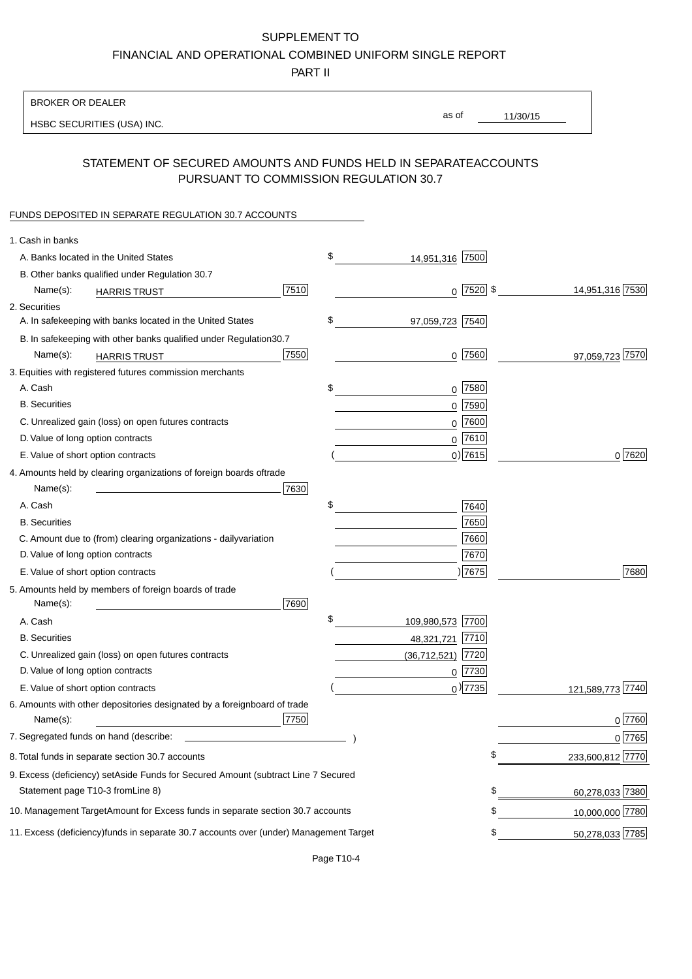PART II

| <b>BROKER OR DEALER</b>                                                                           |                        |                 |                  |
|---------------------------------------------------------------------------------------------------|------------------------|-----------------|------------------|
| HSBC SECURITIES (USA) INC.                                                                        | as of                  | 11/30/15        |                  |
|                                                                                                   |                        |                 |                  |
| STATEMENT OF SECURED AMOUNTS AND FUNDS HELD IN SEPARATE<br>PURSUANT TO COMMISSION REGULATION 30.7 |                        | <b>ACCOUNTS</b> |                  |
| FUNDS DEPOSITED IN SEPARATE REGULATION 30.7 ACCOUNTS                                              |                        |                 |                  |
| 1. Cash in banks                                                                                  |                        |                 |                  |
| A. Banks located in the United States                                                             | \$<br>14,951,316 7500  |                 |                  |
| B. Other banks qualified under Regulation 30.7                                                    |                        |                 |                  |
| 7510<br>Name(s):<br><b>HARRIS TRUST</b>                                                           | $0$ 7520 \$            |                 | 14,951,316 7530  |
| 2. Securities                                                                                     |                        |                 |                  |
| A. In safekeeping with banks located in the United States                                         | \$<br>97,059,723 7540  |                 |                  |
| 30.7<br>B. In safekeeping with other banks qualified under Regulation                             |                        |                 |                  |
| 7550<br>Name(s):<br><b>HARRIS TRUST</b>                                                           | $0$ 7560               |                 | 97,059,723 7570  |
| 3. Equities with registered futures commission merchants                                          |                        |                 |                  |
| A. Cash                                                                                           | \$<br>$0$ 7580         |                 |                  |
| <b>B.</b> Securities                                                                              | $0$ 7590               |                 |                  |
| C. Unrealized gain (loss) on open futures contracts                                               | $0$ 7600               |                 |                  |
| D. Value of long option contracts                                                                 | $0$ 7610               |                 |                  |
| E. Value of short option contracts                                                                | $0)$ 7615              |                 | 0 7620           |
| 4. Amounts held by clearing organizations of foreign boards of<br>trade                           |                        |                 |                  |
| 7630<br>Name(s):                                                                                  |                        |                 |                  |
| A. Cash                                                                                           | \$<br>7640             |                 |                  |
| <b>B.</b> Securities                                                                              | 7650                   |                 |                  |
| C. Amount due to (from) clearing organizations - daily<br>variation                               | 7660                   |                 |                  |
| D. Value of long option contracts                                                                 | 7670                   |                 |                  |
| E. Value of short option contracts                                                                | ) 7675                 |                 | 7680             |
| 5. Amounts held by members of foreign boards of trade<br>Name(s):<br>7690                         |                        |                 |                  |
| A. Cash                                                                                           | \$<br>109,980,573 7700 |                 |                  |
| <b>B.</b> Securities                                                                              | 48,321,721 7710        |                 |                  |
| C. Unrealized gain (loss) on open futures contracts                                               | $(36,712,521)$ 7720    |                 |                  |
| D. Value of long option contracts                                                                 | $0$ 7730               |                 |                  |
| E. Value of short option contracts                                                                | $_0$ ) 7735            |                 | 121,589,773 7740 |
| 6. Amounts with other depositories designated by a foreign<br>board of trade<br>7750<br>Name(s):  |                        |                 | 0 7760           |
| 7. Segregated funds on hand (describe:                                                            |                        |                 | 0 7765           |
| 8. Total funds in separate section 30.7 accounts                                                  |                        | \$              | 233,600,812 7770 |
| 9. Excess (deficiency) set Aside Funds for Secured Amount (subtract Line 7 Secured                |                        |                 |                  |
| Statement page T10-3 from Line 8)                                                                 |                        | \$              | 60,278,033 7380  |
| 10. Management Target Amount for Excess funds in separate section 30.7 accounts                   |                        | \$              | 10,000,000 7780  |
| 11. Excess (deficiency) funds in separate 30.7 accounts over (under) Management Target            |                        | \$              | 50,278,033 7785  |
|                                                                                                   |                        |                 |                  |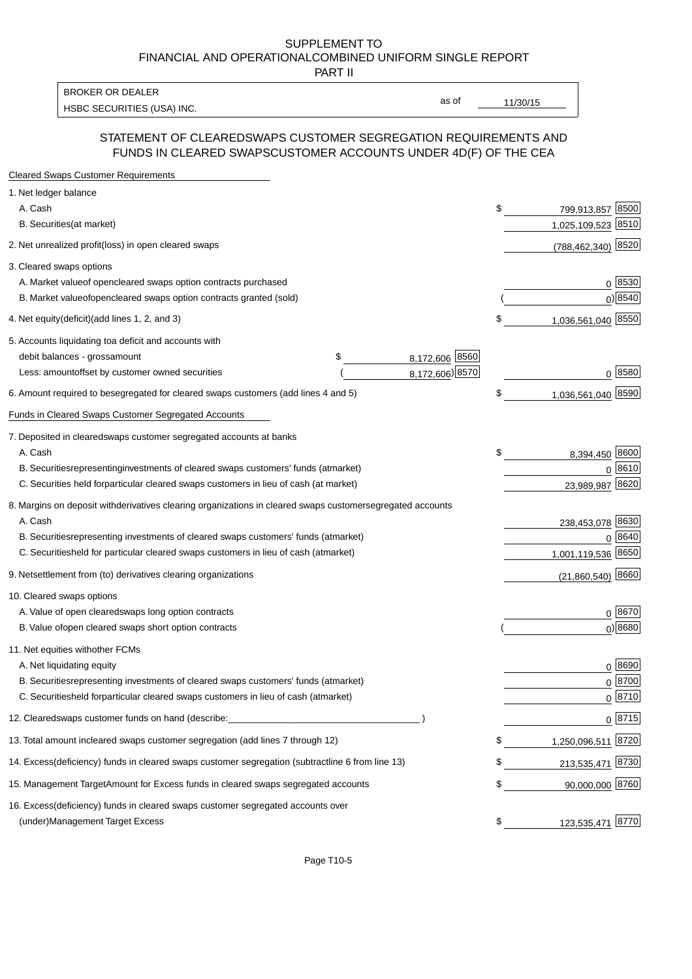PART II

HSBC SECURITIES (USA) INC. The state of the state of the state of the state of the state of the state of the state of the state of the state of the state of the state of the state of the state of the state of the state of BROKER OR DEALER

as of

### STATEMENT OF CLEARED SWAPS CUSTOMER SEGREGATION REQUIREMENTS AND FUNDS IN CLEARED SWAPS CUSTOMER ACCOUNTS UNDER 4D(F) OF THE CEA

| <b>Cleared Swaps Customer Requirements</b>                                                                  |    |                     |
|-------------------------------------------------------------------------------------------------------------|----|---------------------|
| 1. Net ledger balance                                                                                       |    |                     |
| A. Cash                                                                                                     | \$ | 8500<br>799,913,857 |
| B. Securities (at market)                                                                                   |    | 1,025,109,523 8510  |
| 2. Net unrealized profit (loss) in open cleared swaps                                                       |    | (788,462,340) 8520  |
| 3. Cleared swaps options                                                                                    |    |                     |
| A. Market value of open cleared swaps option contracts purchased                                            |    | 0   8530            |
| B. Market value of open cleared swaps option contracts granted (sold)                                       |    | $0)$ 8540           |
| 4. Net equity (deficit) (add lines 1, 2, and 3)                                                             | \$ | 1,036,561,040 8550  |
| 5. Accounts liquidating to a deficit and accounts with                                                      |    |                     |
| 8,172,606 8560<br>debit balances - gross<br>\$<br>amount                                                    |    |                     |
| 8,172,606) 8570<br>Less: amount offset by customer owned securities                                         |    | 0 8580              |
| 6. Amount required to be segregated for cleared swaps customers (add lines 4 and 5)                         | S  | 1,036,561,040 8590  |
| Funds in Cleared Swaps Customer Segregated Accounts                                                         |    |                     |
| 7. Deposited in cleared swaps customer segregated accounts at banks                                         |    |                     |
| A. Cash                                                                                                     | \$ | 8,394,450 8600      |
| B. Securities representing investments of cleared swaps customers' funds (at market)                        |    | $0^{8610}$          |
| C. Securities held for particular cleared swaps customers in lieu of cash (at market)                       |    | 8620<br>23,989,987  |
| 8. Margins on deposit with derivatives clearing organizations in cleared swaps customer segregated accounts |    |                     |
| A. Cash                                                                                                     |    | 238,453,078 8630    |
| representing investments of cleared swaps customers' funds (at market)<br><b>B.</b> Securities              |    | 8640<br>0           |
| held for particular cleared swaps customers in lieu of cash (at market)<br>C. Securities                    |    | 1,001,119,536 8650  |
| 9. Net settlement from (to) derivatives clearing organizations                                              |    | $(21,860,540)$ 8660 |
| 10. Cleared swaps options                                                                                   |    |                     |
| A. Value of open cleared swaps long option contracts                                                        |    | $0^{8670}$          |
| B. Value of open cleared swaps short option contracts                                                       |    | $0$ ) 8680          |
| 11. Net equities with other FCMs                                                                            |    |                     |
| A. Net liquidating equity                                                                                   |    | $0^{8690}$          |
| B. Securities representing investments of cleared swaps customers' funds (at market)                        |    | $0^{8700}$          |
| C. Securities held for particular cleared swaps customers in lieu of cash (at market)                       |    | 0 8710              |
| 12. Cleared swaps customer funds on hand (describe:                                                         |    | $0 \;  8715 $       |
| 13. Total amount in cleared swaps customer segregation (add lines 7 through 12)                             | S  | 1,250,096,511 8720  |
| 14. Excess (deficiency) funds in cleared swaps customer segregation (subtract line 6 from line 13)          |    | 213,535,471 8730    |
| 15. Management Target Amount for Excess funds in cleared swaps segregated accounts                          | \$ | 90,000,000 8760     |
| 16. Excess<br>(deficiency) funds in cleared swaps customer segregated accounts over                         |    |                     |
| <b>Management Target Excess</b><br>(under)                                                                  | \$ | 123,535,471 8770    |